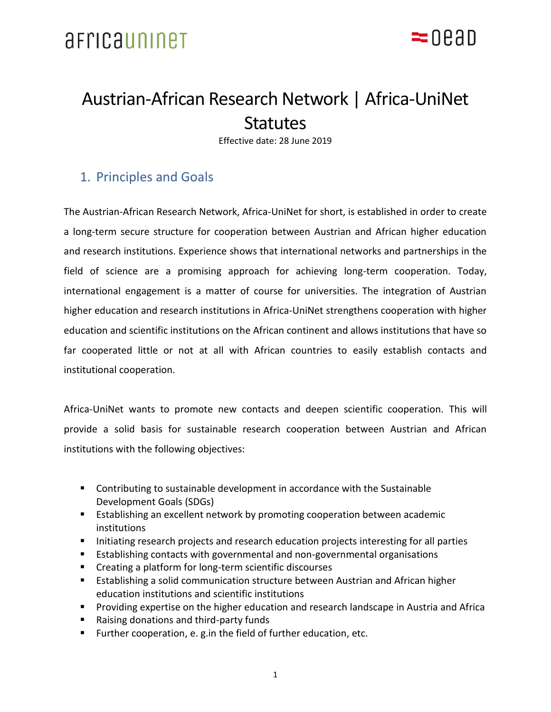

## Austrian-African Research Network | Africa-UniNet **Statutes**

Effective date: 28 June 2019

### 1. Principles and Goals

The Austrian-African Research Network, Africa-UniNet for short, is established in order to create a long-term secure structure for cooperation between Austrian and African higher education and research institutions. Experience shows that international networks and partnerships in the field of science are a promising approach for achieving long-term cooperation. Today, international engagement is a matter of course for universities. The integration of Austrian higher education and research institutions in Africa-UniNet strengthens cooperation with higher education and scientific institutions on the African continent and allows institutions that have so far cooperated little or not at all with African countries to easily establish contacts and institutional cooperation.

Africa-UniNet wants to promote new contacts and deepen scientific cooperation. This will provide a solid basis for sustainable research cooperation between Austrian and African institutions with the following objectives:

- Contributing to sustainable development in accordance with the Sustainable Development Goals (SDGs)
- Establishing an excellent network by promoting cooperation between academic institutions
- Initiating research projects and research education projects interesting for all parties
- Establishing contacts with governmental and non-governmental organisations
- Creating a platform for long-term scientific discourses
- Establishing a solid communication structure between Austrian and African higher education institutions and scientific institutions
- Providing expertise on the higher education and research landscape in Austria and Africa
- Raising donations and third-party funds
- Further cooperation, e. g. in the field of further education, etc.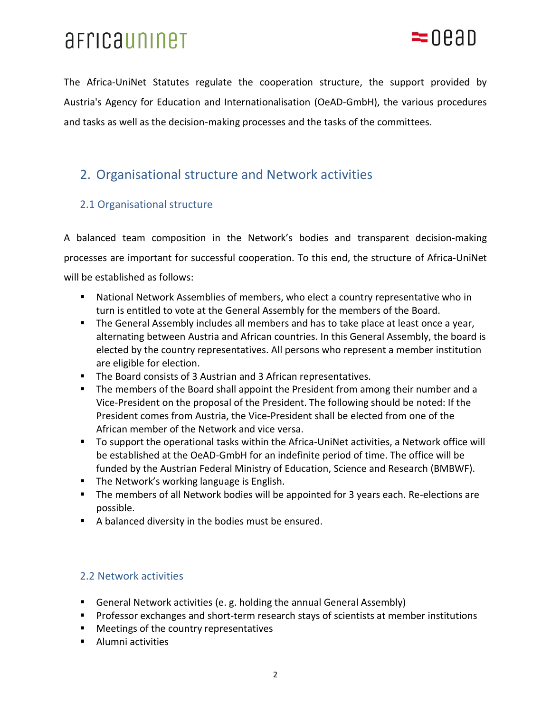

The Africa-UniNet Statutes regulate the cooperation structure, the support provided by Austria's Agency for Education and Internationalisation (OeAD-GmbH), the various procedures and tasks as well as the decision-making processes and the tasks of the committees.

### 2. Organisational structure and Network activities

### 2.1 Organisational structure

A balanced team composition in the Network's bodies and transparent decision-making processes are important for successful cooperation. To this end, the structure of Africa-UniNet will be established as follows:

- National Network Assemblies of members, who elect a country representative who in turn is entitled to vote at the General Assembly for the members of the Board.
- The General Assembly includes all members and has to take place at least once a year, alternating between Austria and African countries. In this General Assembly, the board is elected by the country representatives. All persons who represent a member institution are eligible for election.
- The Board consists of 3 Austrian and 3 African representatives.
- The members of the Board shall appoint the President from among their number and a Vice-President on the proposal of the President. The following should be noted: If the President comes from Austria, the Vice-President shall be elected from one of the African member of the Network and vice versa.
- To support the operational tasks within the Africa-UniNet activities, a Network office will be established at the OeAD-GmbH for an indefinite period of time. The office will be funded by the Austrian Federal Ministry of Education, Science and Research (BMBWF).
- The Network's working language is English.
- The members of all Network bodies will be appointed for 3 years each. Re-elections are possible.
- A balanced diversity in the bodies must be ensured.

### 2.2 Network activities

- General Network activities (e. g. holding the annual General Assembly)
- Professor exchanges and short-term research stays of scientists at member institutions
- Meetings of the country representatives
- Alumni activities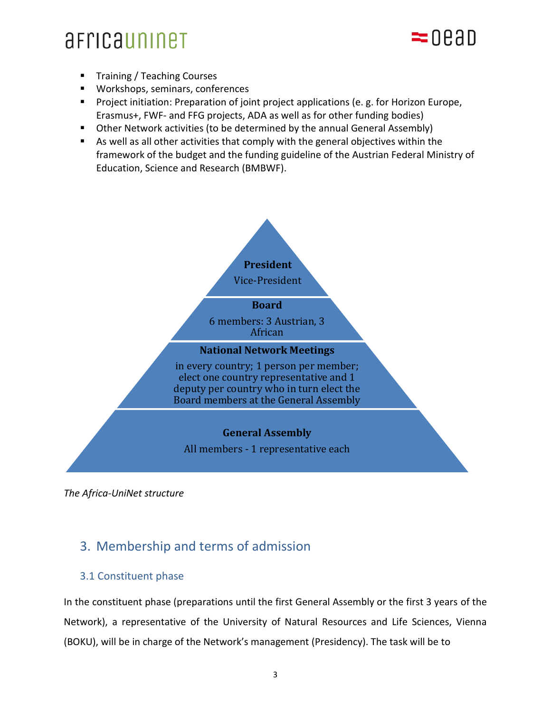## == 0.8.9.D

- Training / Teaching Courses
- Workshops, seminars, conferences
- Project initiation: Preparation of joint project applications (e. g. for Horizon Europe, Erasmus+, FWF- and FFG projects, ADA as well as for other funding bodies)
- Other Network activities (to be determined by the annual General Assembly)
- As well as all other activities that comply with the general objectives within the framework of the budget and the funding guideline of the Austrian Federal Ministry of Education, Science and Research (BMBWF).



*The Africa-UniNet structure*

## 3. Membership and terms of admission

### 3.1 Constituent phase

In the constituent phase (preparations until the first General Assembly or the first 3 years of the Network), a representative of the University of Natural Resources and Life Sciences, Vienna (BOKU), will be in charge of the Network's management (Presidency). The task will be to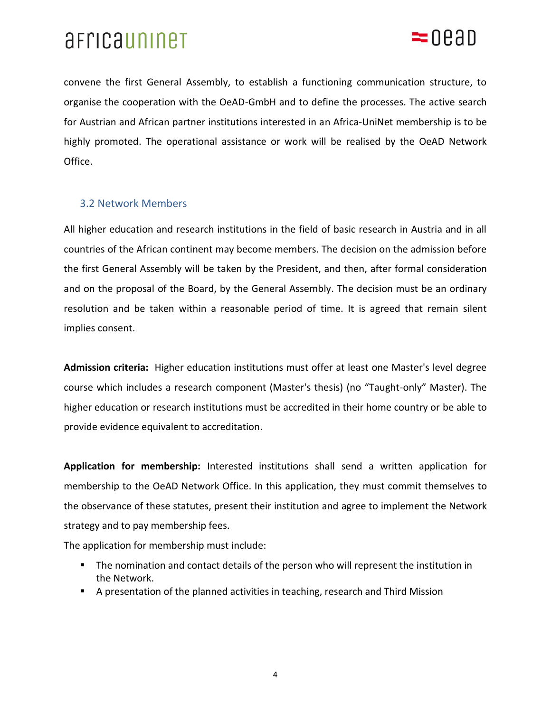

convene the first General Assembly, to establish a functioning communication structure, to organise the cooperation with the OeAD-GmbH and to define the processes. The active search for Austrian and African partner institutions interested in an Africa-UniNet membership is to be highly promoted. The operational assistance or work will be realised by the OeAD Network Office.

#### 3.2 Network Members

All higher education and research institutions in the field of basic research in Austria and in all countries of the African continent may become members. The decision on the admission before the first General Assembly will be taken by the President, and then, after formal consideration and on the proposal of the Board, by the General Assembly. The decision must be an ordinary resolution and be taken within a reasonable period of time. It is agreed that remain silent implies consent.

**Admission criteria:** Higher education institutions must offer at least one Master's level degree course which includes a research component (Master's thesis) (no "Taught-only" Master). The higher education or research institutions must be accredited in their home country or be able to provide evidence equivalent to accreditation.

**Application for membership:** Interested institutions shall send a written application for membership to the OeAD Network Office. In this application, they must commit themselves to the observance of these statutes, present their institution and agree to implement the Network strategy and to pay membership fees.

The application for membership must include:

- The nomination and contact details of the person who will represent the institution in the Network.
- A presentation of the planned activities in teaching, research and Third Mission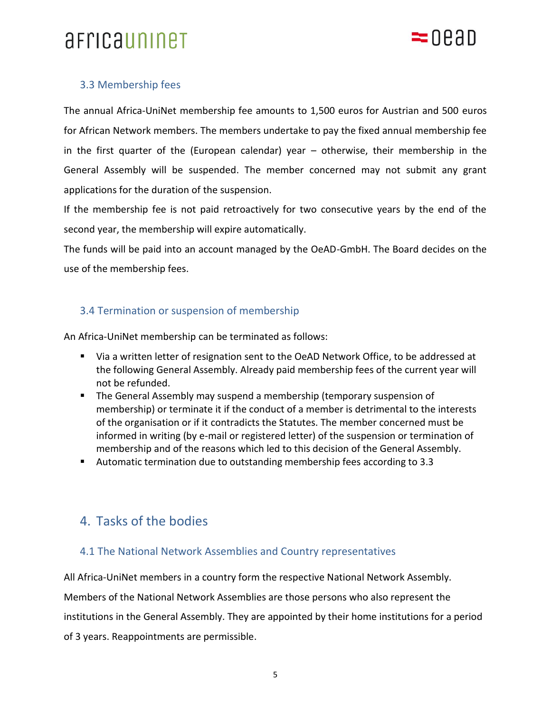

### 3.3 Membership fees

The annual Africa-UniNet membership fee amounts to 1,500 euros for Austrian and 500 euros for African Network members. The members undertake to pay the fixed annual membership fee in the first quarter of the (European calendar) year – otherwise, their membership in the General Assembly will be suspended. The member concerned may not submit any grant applications for the duration of the suspension.

If the membership fee is not paid retroactively for two consecutive years by the end of the second year, the membership will expire automatically.

The funds will be paid into an account managed by the OeAD-GmbH. The Board decides on the use of the membership fees.

#### 3.4 Termination or suspension of membership

An Africa-UniNet membership can be terminated as follows:

- Via a written letter of resignation sent to the OeAD Network Office, to be addressed at the following General Assembly. Already paid membership fees of the current year will not be refunded.
- The General Assembly may suspend a membership (temporary suspension of membership) or terminate it if the conduct of a member is detrimental to the interests of the organisation or if it contradicts the Statutes. The member concerned must be informed in writing (by e-mail or registered letter) of the suspension or termination of membership and of the reasons which led to this decision of the General Assembly.
- Automatic termination due to outstanding membership fees according to 3.3

### 4. Tasks of the bodies

#### 4.1 The National Network Assemblies and Country representatives

All Africa-UniNet members in a country form the respective National Network Assembly.

Members of the National Network Assemblies are those persons who also represent the institutions in the General Assembly. They are appointed by their home institutions for a period of 3 years. Reappointments are permissible.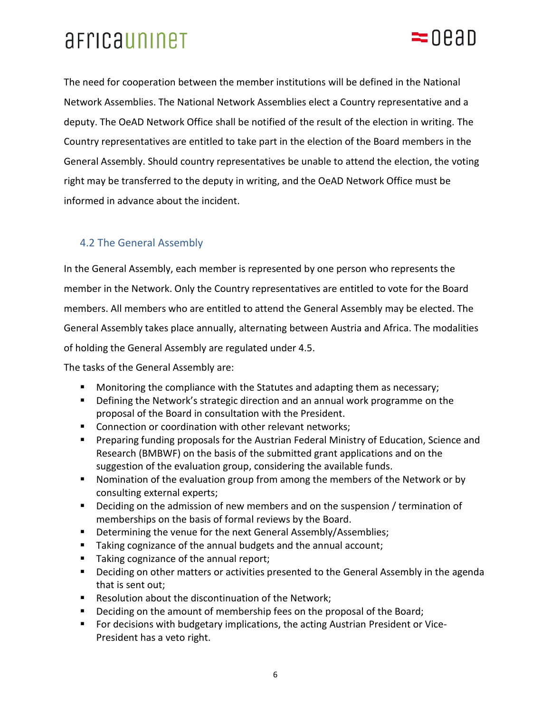## $=$ nean

The need for cooperation between the member institutions will be defined in the National Network Assemblies. The National Network Assemblies elect a Country representative and a deputy. The OeAD Network Office shall be notified of the result of the election in writing. The Country representatives are entitled to take part in the election of the Board members in the General Assembly. Should country representatives be unable to attend the election, the voting right may be transferred to the deputy in writing, and the OeAD Network Office must be informed in advance about the incident.

### 4.2 The General Assembly

In the General Assembly, each member is represented by one person who represents the member in the Network. Only the Country representatives are entitled to vote for the Board members. All members who are entitled to attend the General Assembly may be elected. The General Assembly takes place annually, alternating between Austria and Africa. The modalities of holding the General Assembly are regulated under 4.5.

The tasks of the General Assembly are:

- Monitoring the compliance with the Statutes and adapting them as necessary;
- Defining the Network's strategic direction and an annual work programme on the proposal of the Board in consultation with the President.
- Connection or coordination with other relevant networks;
- **E** Preparing funding proposals for the Austrian Federal Ministry of Education, Science and Research (BMBWF) on the basis of the submitted grant applications and on the suggestion of the evaluation group, considering the available funds.
- Nomination of the evaluation group from among the members of the Network or by consulting external experts;
- Deciding on the admission of new members and on the suspension / termination of memberships on the basis of formal reviews by the Board.
- Determining the venue for the next General Assembly/Assemblies;
- Taking cognizance of the annual budgets and the annual account;
- Taking cognizance of the annual report;
- Deciding on other matters or activities presented to the General Assembly in the agenda that is sent out;
- Resolution about the discontinuation of the Network;
- Deciding on the amount of membership fees on the proposal of the Board;
- For decisions with budgetary implications, the acting Austrian President or Vice-President has a veto right.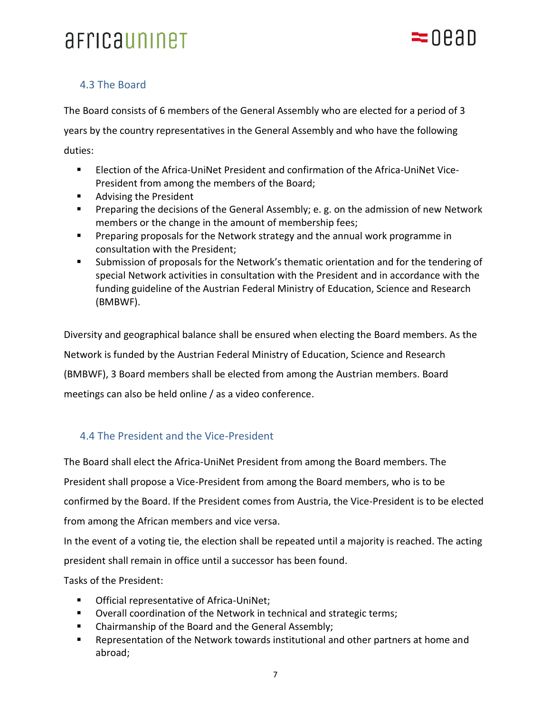

### 4.3 The Board

The Board consists of 6 members of the General Assembly who are elected for a period of 3 years by the country representatives in the General Assembly and who have the following

duties:

- Election of the Africa-UniNet President and confirmation of the Africa-UniNet Vice-President from among the members of the Board;
- Advising the President
- Preparing the decisions of the General Assembly; e. g. on the admission of new Network members or the change in the amount of membership fees;
- Preparing proposals for the Network strategy and the annual work programme in consultation with the President;
- Submission of proposals for the Network's thematic orientation and for the tendering of special Network activities in consultation with the President and in accordance with the funding guideline of the Austrian Federal Ministry of Education, Science and Research (BMBWF).

Diversity and geographical balance shall be ensured when electing the Board members. As the Network is funded by the Austrian Federal Ministry of Education, Science and Research (BMBWF), 3 Board members shall be elected from among the Austrian members. Board meetings can also be held online / as a video conference.

### 4.4 The President and the Vice-President

The Board shall elect the Africa-UniNet President from among the Board members. The President shall propose a Vice-President from among the Board members, who is to be confirmed by the Board. If the President comes from Austria, the Vice-President is to be elected from among the African members and vice versa.

In the event of a voting tie, the election shall be repeated until a majority is reached. The acting president shall remain in office until a successor has been found.

Tasks of the President:

- Official representative of Africa-UniNet;
- Overall coordination of the Network in technical and strategic terms;
- Chairmanship of the Board and the General Assembly;
- Representation of the Network towards institutional and other partners at home and abroad;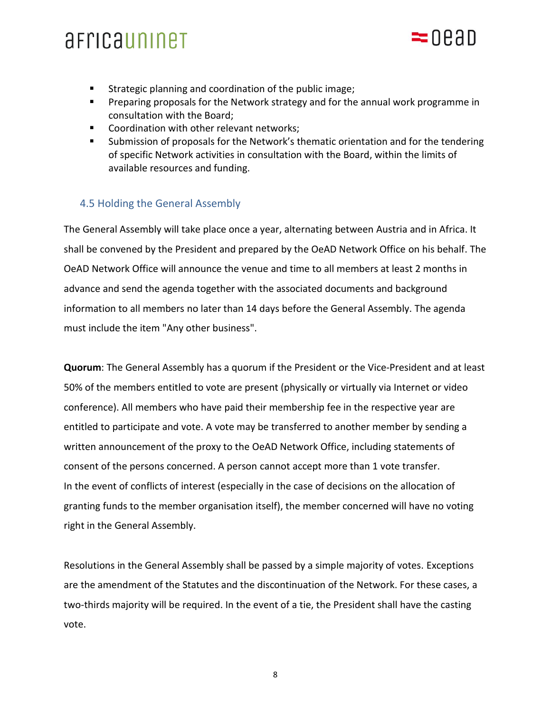- $=$ nean
- Strategic planning and coordination of the public image;
- Preparing proposals for the Network strategy and for the annual work programme in consultation with the Board;
- Coordination with other relevant networks;
- Submission of proposals for the Network's thematic orientation and for the tendering of specific Network activities in consultation with the Board, within the limits of available resources and funding.

### 4.5 Holding the General Assembly

The General Assembly will take place once a year, alternating between Austria and in Africa. It shall be convened by the President and prepared by the OeAD Network Office on his behalf. The OeAD Network Office will announce the venue and time to all members at least 2 months in advance and send the agenda together with the associated documents and background information to all members no later than 14 days before the General Assembly. The agenda must include the item "Any other business".

**Quorum**: The General Assembly has a quorum if the President or the Vice-President and at least 50% of the members entitled to vote are present (physically or virtually via Internet or video conference). All members who have paid their membership fee in the respective year are entitled to participate and vote. A vote may be transferred to another member by sending a written announcement of the proxy to the OeAD Network Office, including statements of consent of the persons concerned. A person cannot accept more than 1 vote transfer. In the event of conflicts of interest (especially in the case of decisions on the allocation of granting funds to the member organisation itself), the member concerned will have no voting right in the General Assembly.

Resolutions in the General Assembly shall be passed by a simple majority of votes. Exceptions are the amendment of the Statutes and the discontinuation of the Network. For these cases, a two-thirds majority will be required. In the event of a tie, the President shall have the casting vote.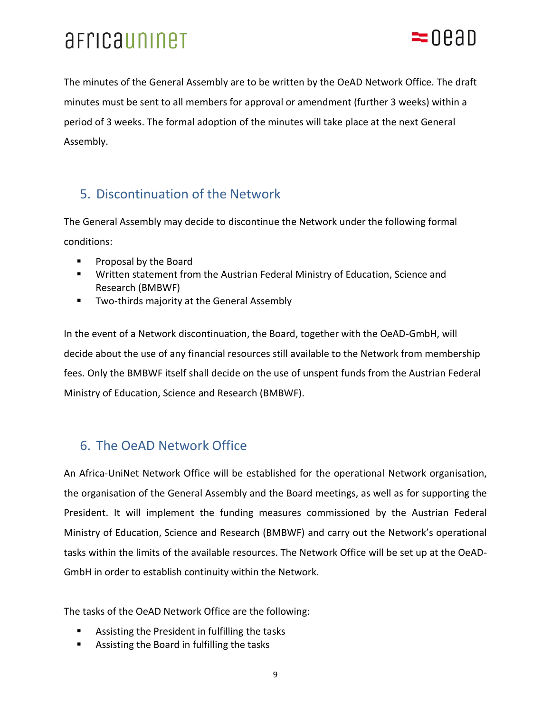

The minutes of the General Assembly are to be written by the OeAD Network Office. The draft minutes must be sent to all members for approval or amendment (further 3 weeks) within a period of 3 weeks. The formal adoption of the minutes will take place at the next General Assembly.

### 5. Discontinuation of the Network

The General Assembly may decide to discontinue the Network under the following formal conditions:

- Proposal by the Board
- Written statement from the Austrian Federal Ministry of Education, Science and Research (BMBWF)
- Two-thirds majority at the General Assembly

In the event of a Network discontinuation, the Board, together with the OeAD-GmbH, will decide about the use of any financial resources still available to the Network from membership fees. Only the BMBWF itself shall decide on the use of unspent funds from the Austrian Federal Ministry of Education, Science and Research (BMBWF).

## 6. The OeAD Network Office

An Africa-UniNet Network Office will be established for the operational Network organisation, the organisation of the General Assembly and the Board meetings, as well as for supporting the President. It will implement the funding measures commissioned by the Austrian Federal Ministry of Education, Science and Research (BMBWF) and carry out the Network's operational tasks within the limits of the available resources. The Network Office will be set up at the OeAD-GmbH in order to establish continuity within the Network.

The tasks of the OeAD Network Office are the following:

- Assisting the President in fulfilling the tasks
- Assisting the Board in fulfilling the tasks